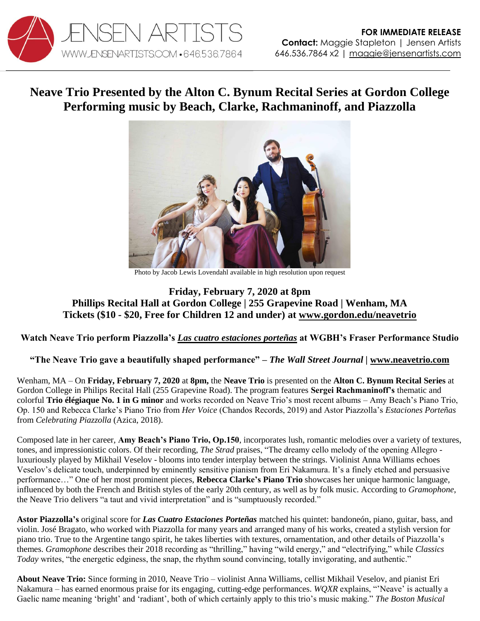

## **Neave Trio Presented by the Alton C. Bynum Recital Series at Gordon College Performing music by Beach, Clarke, Rachmaninoff, and Piazzolla**



Photo by Jacob Lewis Lovendahl available in high resolution upon request

## **Friday, February 7, 2020 at 8pm Phillips Recital Hall at Gordon College | 255 Grapevine Road | Wenham, MA Tickets (\$10 - \$20, Free for Children 12 and under) at [www.gordon.edu/neavetrio](http://www.gordon.edu/neavetrio)**

## **Watch Neave Trio perform Piazzolla's** *[Las cuatro estaciones porteñas](https://youtu.be/Xs3a6h4OV-E)* **at WGBH's Fraser Performance Studio**

## **"The Neave Trio gave a beautifully shaped performance"** *– The Wall Street Journal |* **[www.neavetrio.com](http://www.neavetrio.com/)**

Wenham, MA – On **Friday, February 7, 2020** at **8pm,** the **Neave Trio** is presented on the **Alton C. Bynum Recital Series** at Gordon College in Philips Recital Hall (255 Grapevine Road). The program features **Sergei Rachmaninoff's** thematic and colorful **Trio élégiaque No. 1 in G minor** and works recorded on Neave Trio's most recent albums – Amy Beach's Piano Trio, Op. 150 and Rebecca Clarke's Piano Trio from *Her Voice* (Chandos Records, 2019) and Astor Piazzolla's *Estaciones Porteñas* from *Celebrating Piazzolla* (Azica, 2018).

Composed late in her career, **Amy Beach's Piano Trio, Op.150**, incorporates lush, romantic melodies over a variety of textures, tones, and impressionistic colors. Of their recording, *The Strad* praises, "The dreamy cello melody of the opening Allegro luxuriously played by Mikhail Veselov - blooms into tender interplay between the strings. Violinist Anna Williams echoes Veselov's delicate touch, underpinned by eminently sensitive pianism from Eri Nakamura. It's a finely etched and persuasive performance…" One of her most prominent pieces, **Rebecca Clarke's Piano Trio** showcases her unique harmonic language, influenced by both the French and British styles of the early 20th century, as well as by folk music. According to *Gramophone*, the Neave Trio delivers "a taut and vivid interpretation" and is "sumptuously recorded."

**Astor Piazzolla's** original score for *Las Cuatro Estaciones Porteñas* matched his quintet: bandoneón, piano, guitar, bass, and violin. José Bragato, who worked with Piazzolla for many years and arranged many of his works, created a stylish version for piano trio. True to the Argentine tango spirit, he takes liberties with textures, ornamentation, and other details of Piazzolla's themes. *Gramophone* describes their 2018 recording as "thrilling," having "wild energy," and "electrifying," while *Classics Today* writes, "the energetic edginess, the snap, the rhythm sound convincing, totally invigorating, and authentic."

**About Neave Trio:** Since forming in 2010, Neave Trio – violinist Anna Williams, cellist Mikhail Veselov, and pianist Eri Nakamura – has earned enormous praise for its engaging, cutting-edge performances. *WQXR* explains, "'Neave' is actually a Gaelic name meaning 'bright' and 'radiant', both of which certainly apply to this trio's music making." *The Boston Musical*